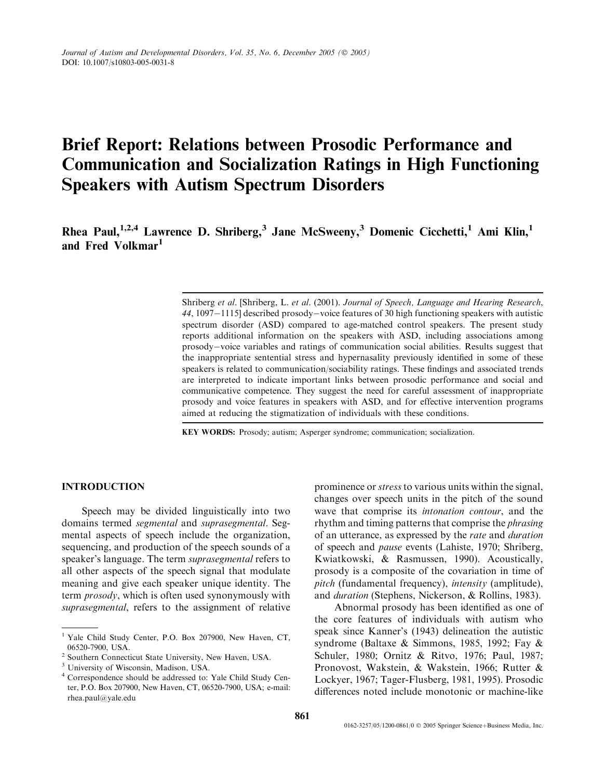# Brief Report: Relations between Prosodic Performance and Communication and Socialization Ratings in High Functioning Speakers with Autism Spectrum Disorders

Rhea Paul,<sup>1,2,4</sup> Lawrence D. Shriberg,<sup>3</sup> Jane McSweeny,<sup>3</sup> Domenic Cicchetti,<sup>1</sup> Ami Klin,<sup>1</sup> and Fred Volkmar<sup>1</sup>

> Shriberg et al. [Shriberg, L. et al. (2001). Journal of Speech, Language and Hearing Research, 44, 1097 $-1115$ ] described prosody-voice features of 30 high functioning speakers with autistic spectrum disorder (ASD) compared to age-matched control speakers. The present study reports additional information on the speakers with ASD, including associations among prosody-voice variables and ratings of communication social abilities. Results suggest that the inappropriate sentential stress and hypernasality previously identified in some of these speakers is related to communication/sociability ratings. These findings and associated trends are interpreted to indicate important links between prosodic performance and social and communicative competence. They suggest the need for careful assessment of inappropriate prosody and voice features in speakers with ASD, and for effective intervention programs aimed at reducing the stigmatization of individuals with these conditions.

KEY WORDS: Prosody; autism; Asperger syndrome; communication; socialization.

# INTRODUCTION

Speech may be divided linguistically into two domains termed segmental and suprasegmental. Segmental aspects of speech include the organization, sequencing, and production of the speech sounds of a speaker's language. The term suprasegmental refers to all other aspects of the speech signal that modulate meaning and give each speaker unique identity. The term prosody, which is often used synonymously with suprasegmental, refers to the assignment of relative

prominence or stress to various units within the signal, changes over speech units in the pitch of the sound wave that comprise its intonation contour, and the rhythm and timing patterns that comprise the phrasing of an utterance, as expressed by the rate and duration of speech and pause events (Lahiste, 1970; Shriberg, Kwiatkowski, & Rasmussen, 1990). Acoustically, prosody is a composite of the covariation in time of pitch (fundamental frequency), intensity (amplitude), and duration (Stephens, Nickerson, & Rollins, 1983).

Abnormal prosody has been identified as one of the core features of individuals with autism who speak since Kanner's (1943) delineation the autistic syndrome (Baltaxe & Simmons, 1985, 1992; Fay & Schuler, 1980; Ornitz & Ritvo, 1976; Paul, 1987; Pronovost, Wakstein, & Wakstein, 1966; Rutter & Lockyer, 1967; Tager-Flusberg, 1981, 1995). Prosodic differences noted include monotonic or machine-like

<sup>&</sup>lt;sup>1</sup> Yale Child Study Center, P.O. Box 207900, New Haven, CT, 06520-7900, USA.

<sup>2</sup> Southern Connecticut State University, New Haven, USA.

<sup>3</sup> University of Wisconsin, Madison, USA.

<sup>4</sup> Correspondence should be addressed to: Yale Child Study Center, P.O. Box 207900, New Haven, CT, 06520-7900, USA; e-mail: rhea.paul@yale.edu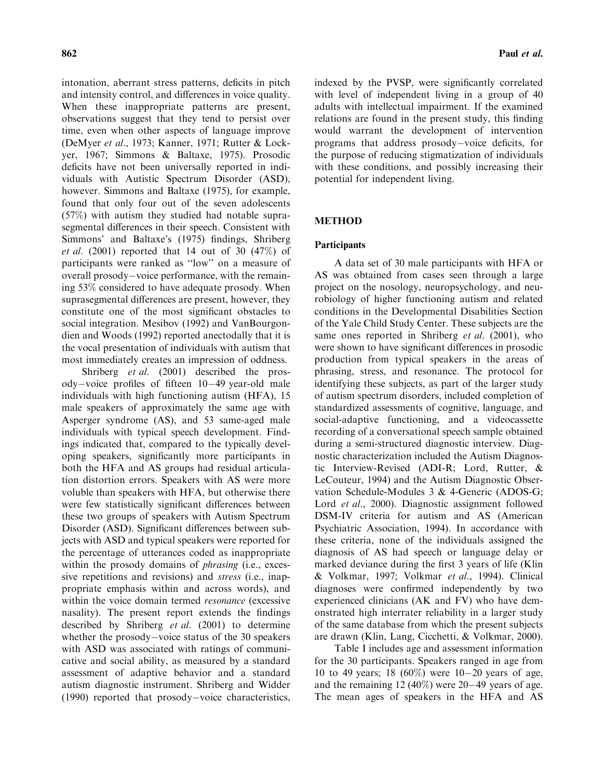intonation, aberrant stress patterns, deficits in pitch and intensity control, and differences in voice quality. When these inappropriate patterns are present, observations suggest that they tend to persist over time, even when other aspects of language improve (DeMyer et al., 1973; Kanner, 1971; Rutter & Lockyer, 1967; Simmons & Baltaxe, 1975). Prosodic deficits have not been universally reported in individuals with Autistic Spectrum Disorder (ASD), however. Simmons and Baltaxe (1975), for example, found that only four out of the seven adolescents (57%) with autism they studied had notable suprasegmental differences in their speech. Consistent with Simmons' and Baltaxe's (1975) findings, Shriberg *et al.* (2001) reported that 14 out of 30  $(47%)$  of participants were ranked as ''low'' on a measure of  $overall$  prosody-voice performance, with the remaining 53% considered to have adequate prosody. When suprasegmental differences are present, however, they constitute one of the most significant obstacles to social integration. Mesibov (1992) and VanBourgondien and Woods (1992) reported anectodally that it is the vocal presentation of individuals with autism that most immediately creates an impression of oddness.

Shriberg *et al.* (2001) described the pros $ody-$ voice profiles of fifteen  $10-49$  year-old male individuals with high functioning autism (HFA), 15 male speakers of approximately the same age with Asperger syndrome (AS), and 53 same-aged male individuals with typical speech development. Findings indicated that, compared to the typically developing speakers, significantly more participants in both the HFA and AS groups had residual articulation distortion errors. Speakers with AS were more voluble than speakers with HFA, but otherwise there were few statistically significant differences between these two groups of speakers with Autism Spectrum Disorder (ASD). Significant differences between subjects with ASD and typical speakers were reported for the percentage of utterances coded as inappropriate within the prosody domains of *phrasing* (i.e., excessive repetitions and revisions) and stress (i.e., inappropriate emphasis within and across words), and within the voice domain termed resonance (excessive nasality). The present report extends the findings described by Shriberg et al. (2001) to determine whether the prosody-voice status of the 30 speakers with ASD was associated with ratings of communicative and social ability, as measured by a standard assessment of adaptive behavior and a standard autism diagnostic instrument. Shriberg and Widder  $(1990)$  reported that prosody-voice characteristics, indexed by the PVSP, were significantly correlated with level of independent living in a group of 40 adults with intellectual impairment. If the examined relations are found in the present study, this finding would warrant the development of intervention programs that address prosody-voice deficits, for the purpose of reducing stigmatization of individuals with these conditions, and possibly increasing their potential for independent living.

# METHOD

## Participants

A data set of 30 male participants with HFA or AS was obtained from cases seen through a large project on the nosology, neuropsychology, and neurobiology of higher functioning autism and related conditions in the Developmental Disabilities Section of the Yale Child Study Center. These subjects are the same ones reported in Shriberg *et al.* (2001), who were shown to have significant differences in prosodic production from typical speakers in the areas of phrasing, stress, and resonance. The protocol for identifying these subjects, as part of the larger study of autism spectrum disorders, included completion of standardized assessments of cognitive, language, and social-adaptive functioning, and a videocassette recording of a conversational speech sample obtained during a semi-structured diagnostic interview. Diagnostic characterization included the Autism Diagnostic Interview-Revised (ADI-R; Lord, Rutter, & LeCouteur, 1994) and the Autism Diagnostic Observation Schedule-Modules 3 & 4-Generic (ADOS-G; Lord *et al.*, 2000). Diagnostic assignment followed DSM-IV criteria for autism and AS (American Psychiatric Association, 1994). In accordance with these criteria, none of the individuals assigned the diagnosis of AS had speech or language delay or marked deviance during the first 3 years of life (Klin & Volkmar, 1997; Volkmar et al., 1994). Clinical diagnoses were confirmed independently by two experienced clinicians (AK and FV) who have demonstrated high interrater reliability in a larger study of the same database from which the present subjects are drawn (Klin, Lang, Cicchetti, & Volkmar, 2000).

Table I includes age and assessment information for the 30 participants. Speakers ranged in age from 10 to 49 years; 18 (60%) were  $10-20$  years of age, and the remaining  $12 (40\%)$  were  $20-49$  years of age. The mean ages of speakers in the HFA and AS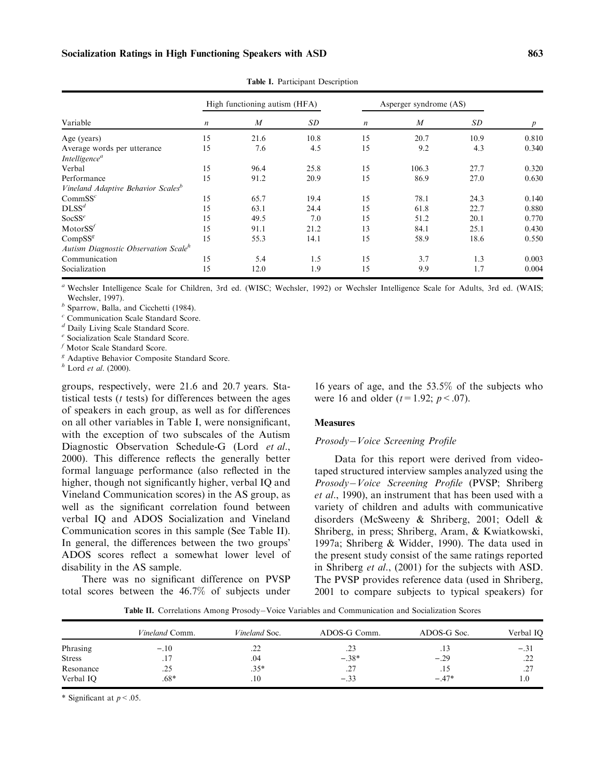|                                                  | High functioning autism (HFA) |                  |      | Asperger syndrome (AS) |       |      |       |
|--------------------------------------------------|-------------------------------|------------------|------|------------------------|-------|------|-------|
| Variable                                         | $\boldsymbol{n}$              | $\boldsymbol{M}$ | SD   | $\boldsymbol{n}$       | M     | SD   |       |
| Age (years)                                      | 15                            | 21.6             | 10.8 | 15                     | 20.7  | 10.9 | 0.810 |
| Average words per utterance                      | 15                            | 7.6              | 4.5  | 15                     | 9.2   | 4.3  | 0.340 |
| Intelligence <sup>a</sup>                        |                               |                  |      |                        |       |      |       |
| Verbal                                           | 15                            | 96.4             | 25.8 | 15                     | 106.3 | 27.7 | 0.320 |
| Performance                                      | 15                            | 91.2             | 20.9 | 15                     | 86.9  | 27.0 | 0.630 |
| Vineland Adaptive Behavior Scales <sup>b</sup>   |                               |                  |      |                        |       |      |       |
| $CommSS^c$                                       | 15                            | 65.7             | 19.4 | 15                     | 78.1  | 24.3 | 0.140 |
| $D L S S^d$                                      | 15                            | 63.1             | 24.4 | 15                     | 61.8  | 22.7 | 0.880 |
| SocSS <sup>e</sup>                               | 15                            | 49.5             | 7.0  | 15                     | 51.2  | 20.1 | 0.770 |
| MotorSS'                                         | 15                            | 91.1             | 21.2 | 13                     | 84.1  | 25.1 | 0.430 |
| CompSS <sup>g</sup>                              | 15                            | 55.3             | 14.1 | 15                     | 58.9  | 18.6 | 0.550 |
| Autism Diagnostic Observation Scale <sup>h</sup> |                               |                  |      |                        |       |      |       |
| Communication                                    | 15                            | 5.4              | 1.5  | 15                     | 3.7   | 1.3  | 0.003 |
| Socialization                                    | 15                            | 12.0             | 1.9  | 15                     | 9.9   | 1.7  | 0.004 |

Table I. Participant Description

<sup>a</sup> Wechsler Intelligence Scale for Children, 3rd ed. (WISC; Wechsler, 1992) or Wechsler Intelligence Scale for Adults, 3rd ed. (WAIS; Wechsler, 1997).

 $<sup>b</sup>$  Sparrow, Balla, and Cicchetti (1984).</sup>

<sup>c</sup> Communication Scale Standard Score.

<sup>d</sup> Daily Living Scale Standard Score.

Socialization Scale Standard Score.

 $f$  Motor Scale Standard Score.

<sup>g</sup> Adaptive Behavior Composite Standard Score.

 $h$  Lord et al. (2000).

groups, respectively, were 21.6 and 20.7 years. Statistical tests  $(t$  tests) for differences between the ages of speakers in each group, as well as for differences on all other variables in Table I, were nonsignificant, with the exception of two subscales of the Autism Diagnostic Observation Schedule-G (Lord et al., 2000). This difference reflects the generally better formal language performance (also reflected in the higher, though not significantly higher, verbal IQ and Vineland Communication scores) in the AS group, as well as the significant correlation found between verbal IQ and ADOS Socialization and Vineland Communication scores in this sample (See Table II). In general, the differences between the two groups' ADOS scores reflect a somewhat lower level of disability in the AS sample.

There was no significant difference on PVSP total scores between the 46.7% of subjects under 16 years of age, and the 53.5% of the subjects who were 16 and older  $(t=1.92; p < .07)$ .

#### **Measures**

### Prosody-Voice Screening Profile

Data for this report were derived from videotaped structured interview samples analyzed using the  $Proof_V-Voice$  Screening Profile (PVSP; Shriberg et al., 1990), an instrument that has been used with a variety of children and adults with communicative disorders (McSweeny & Shriberg, 2001; Odell & Shriberg, in press; Shriberg, Aram, & Kwiatkowski, 1997a; Shriberg & Widder, 1990). The data used in the present study consist of the same ratings reported in Shriberg et al., (2001) for the subjects with ASD. The PVSP provides reference data (used in Shriberg, 2001 to compare subjects to typical speakers) for

Table II. Correlations Among Prosody-Voice Variables and Communication and Socialization Scores

|               | <i>Vineland</i> Comm. | <i>Vineland</i> Soc. | ADOS-G Comm. | ADOS-G Soc. | Verbal IO |
|---------------|-----------------------|----------------------|--------------|-------------|-----------|
| Phrasing      | $-.10$                | .22                  | .23          | .13         | $-.31$    |
| <b>Stress</b> | .17                   | .04                  | $-.38*$      | $-.29$      | .22       |
| Resonance     | .25                   | $.35*$               | .27          | .15         | .27       |
| Verbal IO     | $.68*$                | .10                  | $-.33$       | $-.47*$     | 1.0       |

\* Significant at  $p < .05$ .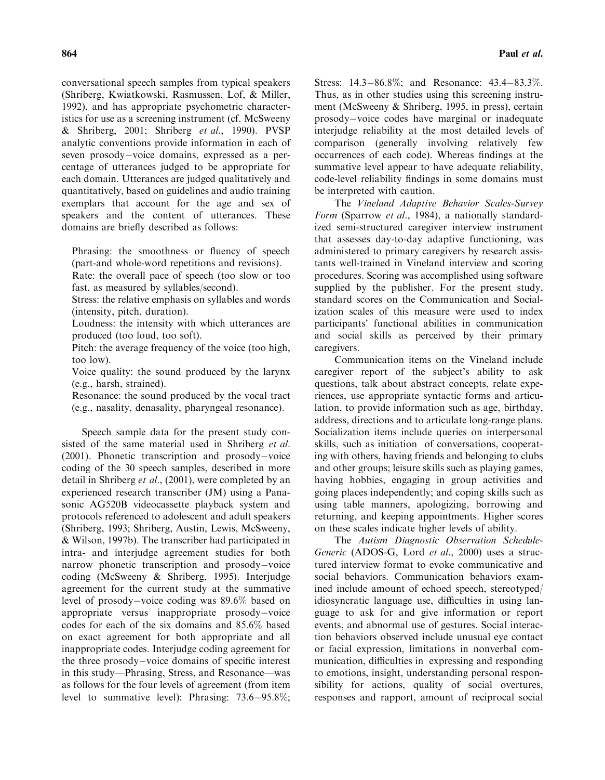conversational speech samples from typical speakers (Shriberg, Kwiatkowski, Rasmussen, Lof, & Miller, 1992), and has appropriate psychometric characteristics for use as a screening instrument (cf. McSweeny & Shriberg, 2001; Shriberg et al., 1990). PVSP analytic conventions provide information in each of seven prosody-voice domains, expressed as a percentage of utterances judged to be appropriate for each domain. Utterances are judged qualitatively and quantitatively, based on guidelines and audio training exemplars that account for the age and sex of speakers and the content of utterances. These domains are briefly described as follows:

Phrasing: the smoothness or fluency of speech (part-and whole-word repetitions and revisions).

Rate: the overall pace of speech (too slow or too fast, as measured by syllables/second).

Stress: the relative emphasis on syllables and words (intensity, pitch, duration).

Loudness: the intensity with which utterances are produced (too loud, too soft).

Pitch: the average frequency of the voice (too high, too low).

Voice quality: the sound produced by the larynx (e.g., harsh, strained).

Resonance: the sound produced by the vocal tract (e.g., nasality, denasality, pharyngeal resonance).

Speech sample data for the present study consisted of the same material used in Shriberg *et al.*  $(2001)$ . Phonetic transcription and prosody-voice coding of the 30 speech samples, described in more detail in Shriberg et al., (2001), were completed by an experienced research transcriber (JM) using a Panasonic AG520B videocassette playback system and protocols referenced to adolescent and adult speakers (Shriberg, 1993; Shriberg, Austin, Lewis, McSweeny, & Wilson, 1997b). The transcriber had participated in intra- and interjudge agreement studies for both narrow phonetic transcription and prosody-voice coding (McSweeny & Shriberg, 1995). Interjudge agreement for the current study at the summative level of prosody-voice coding was  $89.6\%$  based on appropriate versus inappropriate prosody-voice codes for each of the six domains and 85.6% based on exact agreement for both appropriate and all inappropriate codes. Interjudge coding agreement for the three prosody-voice domains of specific interest in this study—Phrasing, Stress, and Resonance—was as follows for the four levels of agreement (from item level to summative level): Phrasing:  $73.6-95.8\%$ ; Stress:  $14.3 - 86.8\%$ ; and Resonance:  $43.4 - 83.3\%$ . Thus, as in other studies using this screening instrument (McSweeny & Shriberg, 1995, in press), certain prosody-voice codes have marginal or inadequate interjudge reliability at the most detailed levels of comparison (generally involving relatively few occurrences of each code). Whereas findings at the summative level appear to have adequate reliability, code-level reliability findings in some domains must be interpreted with caution.

The Vineland Adaptive Behavior Scales-Survey Form (Sparrow et al., 1984), a nationally standardized semi-structured caregiver interview instrument that assesses day-to-day adaptive functioning, was administered to primary caregivers by research assistants well-trained in Vineland interview and scoring procedures. Scoring was accomplished using software supplied by the publisher. For the present study, standard scores on the Communication and Socialization scales of this measure were used to index participants' functional abilities in communication and social skills as perceived by their primary caregivers.

Communication items on the Vineland include caregiver report of the subject's ability to ask questions, talk about abstract concepts, relate experiences, use appropriate syntactic forms and articulation, to provide information such as age, birthday, address, directions and to articulate long-range plans. Socialization items include queries on interpersonal skills, such as initiation of conversations, cooperating with others, having friends and belonging to clubs and other groups; leisure skills such as playing games, having hobbies, engaging in group activities and going places independently; and coping skills such as using table manners, apologizing, borrowing and returning, and keeping appointments. Higher scores on these scales indicate higher levels of ability.

The Autism Diagnostic Observation Schedule-Generic (ADOS-G, Lord et al., 2000) uses a structured interview format to evoke communicative and social behaviors. Communication behaviors examined include amount of echoed speech, stereotyped/ idiosyncratic language use, difficulties in using language to ask for and give information or report events, and abnormal use of gestures. Social interaction behaviors observed include unusual eye contact or facial expression, limitations in nonverbal communication, difficulties in expressing and responding to emotions, insight, understanding personal responsibility for actions, quality of social overtures, responses and rapport, amount of reciprocal social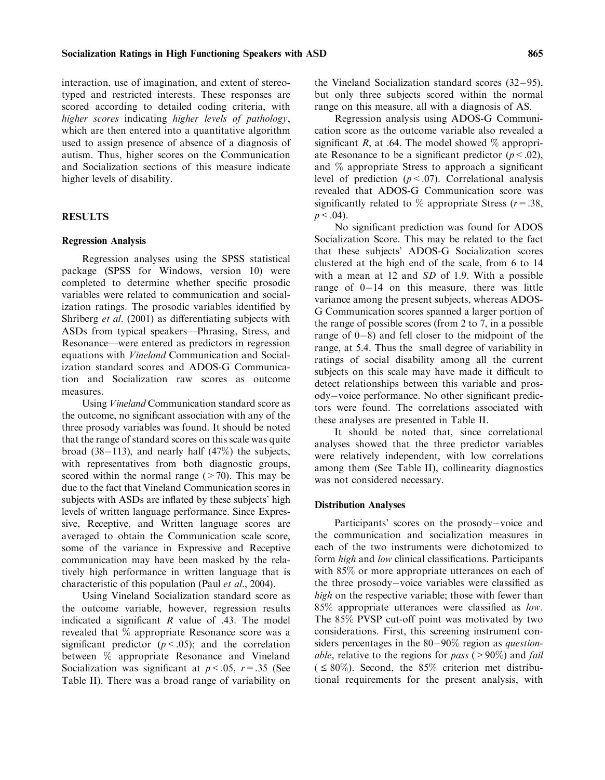interaction, use of imagination, and extent of stereotyped and restricted interests. These responses are scored according to detailed coding criteria, with higher scores indicating higher levels of pathology, which are then entered into a quantitative algorithm used to assign presence of absence of a diagnosis of autism. Thus, higher scores on the Communication and Socialization sections of this measure indicate higher levels of disability.

# RESULTS

## Regression Analysis

Regression analyses using the SPSS statistical package (SPSS for Windows, version 10) were completed to determine whether specific prosodic variables were related to communication and socialization ratings. The prosodic variables identified by Shriberg *et al.* (2001) as differentiating subjects with ASDs from typical speakers—Phrasing, Stress, and Resonance—were entered as predictors in regression equations with Vineland Communication and Socialization standard scores and ADOS-G Communication and Socialization raw scores as outcome measures.

Using Vineland Communication standard score as the outcome, no significant association with any of the three prosody variables was found. It should be noted that the range of standard scores on this scale was quite broad (38–113), and nearly half (47%) the subjects, with representatives from both diagnostic groups, scored within the normal range  $(270)$ . This may be due to the fact that Vineland Communication scores in subjects with ASDs are inflated by these subjects' high levels of written language performance. Since Expressive, Receptive, and Written language scores are averaged to obtain the Communication scale score, some of the variance in Expressive and Receptive communication may have been masked by the relatively high performance in written language that is characteristic of this population (Paul et al., 2004).

Using Vineland Socialization standard score as the outcome variable, however, regression results indicated a significant  $R$  value of .43. The model revealed that % appropriate Resonance score was a significant predictor  $(p < .05)$ ; and the correlation between % appropriate Resonance and Vineland Socialization was significant at  $p < .05$ ,  $r = .35$  (See Table II). There was a broad range of variability on the Vineland Socialization standard scores  $(32-95)$ , but only three subjects scored within the normal range on this measure, all with a diagnosis of AS.

Regression analysis using ADOS-G Communication score as the outcome variable also revealed a significant R, at .64. The model showed  $\%$  appropriate Resonance to be a significant predictor  $(p < .02)$ , and % appropriate Stress to approach a significant level of prediction  $(p < .07)$ . Correlational analysis revealed that ADOS-G Communication score was significantly related to  $\%$  appropriate Stress ( $r = .38$ ,  $p < .04$ ).

No significant prediction was found for ADOS Socialization Score. This may be related to the fact that these subjects' ADOS-G Socialization scores clustered at the high end of the scale, from 6 to 14 with a mean at 12 and *SD* of 1.9. With a possible range of  $0-14$  on this measure, there was little variance among the present subjects, whereas ADOS-G Communication scores spanned a larger portion of the range of possible scores (from 2 to 7, in a possible range of  $0-8$ ) and fell closer to the midpoint of the range, at 5.4. Thus the small degree of variability in ratings of social disability among all the current subjects on this scale may have made it difficult to detect relationships between this variable and prosody-voice performance. No other significant predictors were found. The correlations associated with these analyses are presented in Table II.

It should be noted that, since correlational analyses showed that the three predictor variables were relatively independent, with low correlations among them (See Table II), collinearity diagnostics was not considered necessary.

#### Distribution Analyses

Participants' scores on the prosody-voice and the communication and socialization measures in each of the two instruments were dichotomized to form high and low clinical classifications. Participants with 85% or more appropriate utterances on each of the three prosody-voice variables were classified as high on the respective variable; those with fewer than 85% appropriate utterances were classified as low. The 85% PVSP cut-off point was motivated by two considerations. First, this screening instrument considers percentages in the  $80-90\%$  region as *questionable*, relative to the regions for *pass* ( $>90\%$ ) and *fail*  $( \leq 80\%)$ . Second, the 85% criterion met distributional requirements for the present analysis, with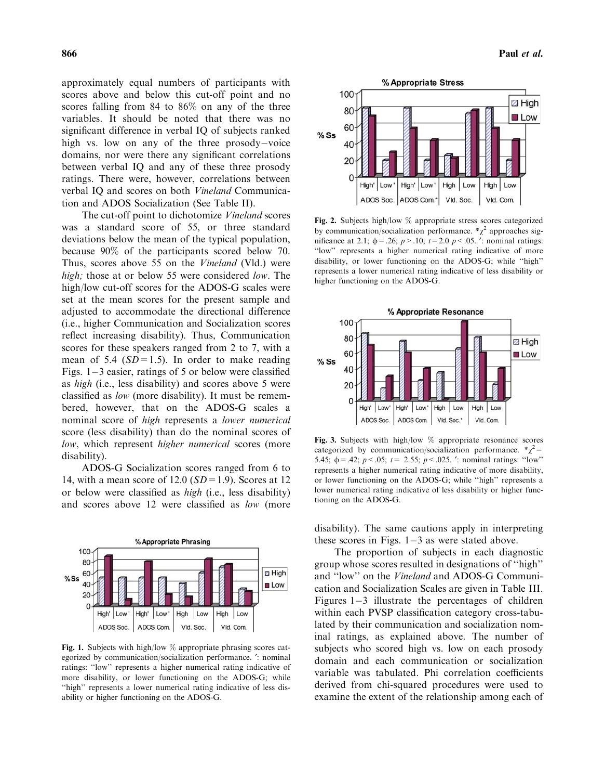approximately equal numbers of participants with scores above and below this cut-off point and no scores falling from 84 to 86% on any of the three variables. It should be noted that there was no significant difference in verbal IQ of subjects ranked high vs. low on any of the three  $prosody-<sub>voice</sub>$ domains, nor were there any significant correlations between verbal IQ and any of these three prosody ratings. There were, however, correlations between verbal IQ and scores on both Vineland Communication and ADOS Socialization (See Table II).

The cut-off point to dichotomize Vineland scores was a standard score of 55, or three standard deviations below the mean of the typical population, because 90% of the participants scored below 70. Thus, scores above 55 on the Vineland (Vld.) were high; those at or below 55 were considered low. The high/low cut-off scores for the ADOS-G scales were set at the mean scores for the present sample and adjusted to accommodate the directional difference (i.e., higher Communication and Socialization scores reflect increasing disability). Thus, Communication scores for these speakers ranged from 2 to 7, with a mean of 5.4 ( $SD=1.5$ ). In order to make reading Figs.  $1-3$  easier, ratings of 5 or below were classified as high (i.e., less disability) and scores above 5 were classified as low (more disability). It must be remembered, however, that on the ADOS-G scales a nominal score of high represents a lower numerical score (less disability) than do the nominal scores of low, which represent *higher numerical* scores (more disability).

ADOS-G Socialization scores ranged from 6 to 14, with a mean score of 12.0  $(SD=1.9)$ . Scores at 12 or below were classified as high (i.e., less disability) and scores above 12 were classified as low (more



Fig. 1. Subjects with high/low % appropriate phrasing scores categorized by communication/socialization performance.  $\dot{\cdot}$ : nominal ratings: ''low'' represents a higher numerical rating indicative of more disability, or lower functioning on the ADOS-G; while "high" represents a lower numerical rating indicative of less disability or higher functioning on the ADOS-G.



Fig. 2. Subjects high/low % appropriate stress scores categorized by communication/socialization performance.  $\chi^2$  approaches significance at 2.1;  $\phi = .26$ ;  $p > .10$ ;  $t = 2.0$   $p < .05$ .  $\dot{ }$ : nominal ratings: ''low'' represents a higher numerical rating indicative of more disability, or lower functioning on the ADOS-G; while ''high'' represents a lower numerical rating indicative of less disability or higher functioning on the ADOS-G.



Fig. 3. Subjects with high/low % appropriate resonance scores categorized by communication/socialization performance.  $\sqrt[*]{z^2}$  = 5.45;  $\phi = .42$ ;  $p < .05$ ;  $t = 2.55$ ;  $p < .025$ . ': nominal ratings: "low" represents a higher numerical rating indicative of more disability, or lower functioning on the ADOS-G; while ''high'' represents a lower numerical rating indicative of less disability or higher functioning on the ADOS-G.

disability). The same cautions apply in interpreting these scores in Figs.  $1-3$  as were stated above.

The proportion of subjects in each diagnostic group whose scores resulted in designations of ''high'' and ''low'' on the Vineland and ADOS-G Communication and Socialization Scales are given in Table III. Figures  $1-3$  illustrate the percentages of children within each PVSP classification category cross-tabulated by their communication and socialization nominal ratings, as explained above. The number of subjects who scored high vs. low on each prosody domain and each communication or socialization variable was tabulated. Phi correlation coefficients derived from chi-squared procedures were used to examine the extent of the relationship among each of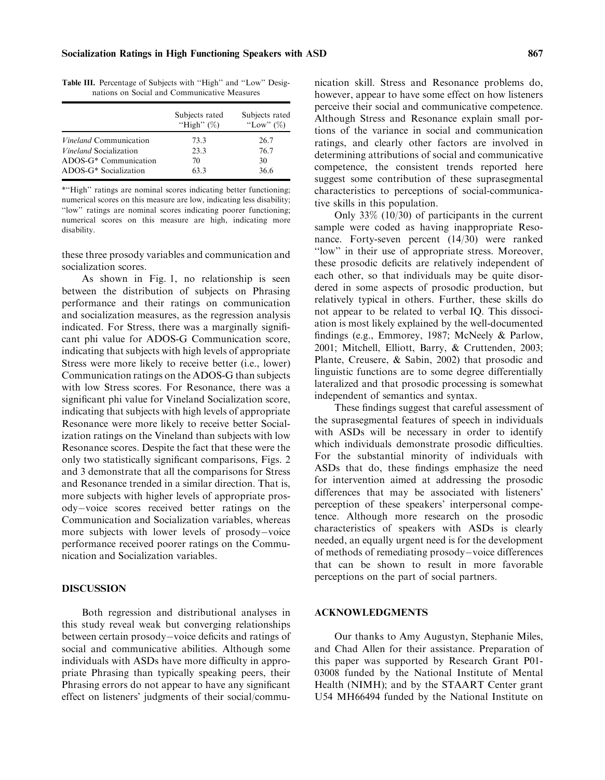Table III. Percentage of Subjects with ''High'' and ''Low'' Designations on Social and Communicative Measures

|                                   | Subjects rated<br>"High" $(\%)$ | Subjects rated<br>"Low" $(\%)$ |
|-----------------------------------|---------------------------------|--------------------------------|
| <i>Vineland</i> Communication     | 73.3                            | 26.7                           |
| <i>Vineland</i> Socialization     | 23.3                            | 76.7                           |
| ADOS-G <sup>*</sup> Communication | 70                              | 30                             |
| ADOS-G* Socialization             | 63.3                            | 36.6                           |

\*''High'' ratings are nominal scores indicating better functioning; numerical scores on this measure are low, indicating less disability; ''low'' ratings are nominal scores indicating poorer functioning; numerical scores on this measure are high, indicating more disability.

these three prosody variables and communication and socialization scores.

As shown in Fig. 1, no relationship is seen between the distribution of subjects on Phrasing performance and their ratings on communication and socialization measures, as the regression analysis indicated. For Stress, there was a marginally significant phi value for ADOS-G Communication score, indicating that subjects with high levels of appropriate Stress were more likely to receive better (i.e., lower) Communication ratings on the ADOS-G than subjects with low Stress scores. For Resonance, there was a significant phi value for Vineland Socialization score, indicating that subjects with high levels of appropriate Resonance were more likely to receive better Socialization ratings on the Vineland than subjects with low Resonance scores. Despite the fact that these were the only two statistically significant comparisons, Figs. 2 and 3 demonstrate that all the comparisons for Stress and Resonance trended in a similar direction. That is, more subjects with higher levels of appropriate prosody-voice scores received better ratings on the Communication and Socialization variables, whereas more subjects with lower levels of prosody-voice performance received poorer ratings on the Communication and Socialization variables.

### DISCUSSION

Both regression and distributional analyses in this study reveal weak but converging relationships between certain prosody-voice deficits and ratings of social and communicative abilities. Although some individuals with ASDs have more difficulty in appropriate Phrasing than typically speaking peers, their Phrasing errors do not appear to have any significant effect on listeners' judgments of their social/communication skill. Stress and Resonance problems do, however, appear to have some effect on how listeners perceive their social and communicative competence. Although Stress and Resonance explain small portions of the variance in social and communication ratings, and clearly other factors are involved in determining attributions of social and communicative competence, the consistent trends reported here suggest some contribution of these suprasegmental characteristics to perceptions of social-communicative skills in this population.

Only 33% (10/30) of participants in the current sample were coded as having inappropriate Resonance. Forty-seven percent (14/30) were ranked ''low'' in their use of appropriate stress. Moreover, these prosodic deficits are relatively independent of each other, so that individuals may be quite disordered in some aspects of prosodic production, but relatively typical in others. Further, these skills do not appear to be related to verbal IQ. This dissociation is most likely explained by the well-documented findings (e.g., Emmorey, 1987; McNeely & Parlow, 2001; Mitchell, Elliott, Barry, & Cruttenden, 2003; Plante, Creusere, & Sabin, 2002) that prosodic and linguistic functions are to some degree differentially lateralized and that prosodic processing is somewhat independent of semantics and syntax.

These findings suggest that careful assessment of the suprasegmental features of speech in individuals with ASDs will be necessary in order to identify which individuals demonstrate prosodic difficulties. For the substantial minority of individuals with ASDs that do, these findings emphasize the need for intervention aimed at addressing the prosodic differences that may be associated with listeners' perception of these speakers' interpersonal competence. Although more research on the prosodic characteristics of speakers with ASDs is clearly needed, an equally urgent need is for the development of methods of remediating prosody-voice differences that can be shown to result in more favorable perceptions on the part of social partners.

## ACKNOWLEDGMENTS

Our thanks to Amy Augustyn, Stephanie Miles, and Chad Allen for their assistance. Preparation of this paper was supported by Research Grant P01- 03008 funded by the National Institute of Mental Health (NIMH); and by the STAART Center grant U54 MH66494 funded by the National Institute on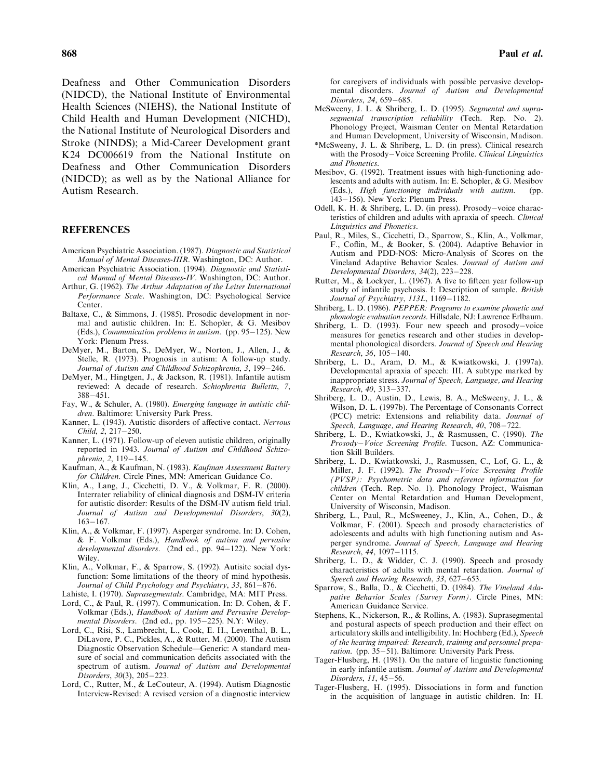Deafness and Other Communication Disorders (NIDCD), the National Institute of Environmental Health Sciences (NIEHS), the National Institute of Child Health and Human Development (NICHD), the National Institute of Neurological Disorders and Stroke (NINDS); a Mid-Career Development grant K24 DC006619 from the National Institute on Deafness and Other Communication Disorders (NIDCD); as well as by the National Alliance for Autism Research.

#### REFERENCES

- American Psychiatric Association. (1987). Diagnostic and Statistical Manual of Mental Diseases-IIIR. Washington, DC: Author. American Psychiatric Association. (1994). Diagnostic and Statisti-
- cal Manual of Mental Diseases-IV. Washington, DC: Author.
- Arthur, G. (1962). The Arthur Adaptation of the Leiter International Performance Scale. Washington, DC: Psychological Service Center.
- Baltaxe, C., & Simmons, J. (1985). Prosodic development in normal and autistic children. In: E. Schopler, & G. Mesibov (Eds.), Communication problems in autism. (pp.  $95-125$ ). New York: Plenum Press.
- DeMyer, M., Barton, S., DeMyer, W., Norton, J., Allen, J., & Stelle, R. (1973). Prognosis in autism: A follow-up study. Journal of Autism and Childhood Schizophrenia, 3, 199-246.
- DeMyer, M., Hingtgen, J., & Jackson, R. (1981). Infantile autism reviewed: A decade of research. Schiophrenia Bulletin, 7, 388451.
- Fay, W., & Schuler, A. (1980). Emerging language in autistic children. Baltimore: University Park Press.
- Kanner, L. (1943). Autistic disorders of affective contact. Nervous  $Child, 2, 217-250.$
- Kanner, L. (1971). Follow-up of eleven autistic children, originally reported in 1943. Journal of Autism and Childhood Schizophrenia, 2, 119-145.
- Kaufman, A., & Kaufman, N. (1983). Kaufman Assessment Battery for Children. Circle Pines, MN: American Guidance Co.
- Klin, A., Lang, J., Cicchetti, D. V., & Volkmar, F. R. (2000). Interrater reliability of clinical diagnosis and DSM-IV criteria for autistic disorder: Results of the DSM-IV autism field trial. Journal of Autism and Developmental Disorders, 30(2),  $163 - 167$ .
- Klin, A., & Volkmar, F. (1997). Asperger syndrome. In: D. Cohen, & F. Volkmar (Eds.), Handbook of autism and pervasive developmental disorders. (2nd ed., pp. 94-122). New York: Wiley.
- Klin, A., Volkmar, F., & Sparrow, S. (1992). Autisitc social dysfunction: Some limitations of the theory of mind hypothesis. Journal of Child Psychology and Psychiatry, 33, 861-876.

Lahiste, I. (1970). Suprasegmentals. Cambridge, MA: MIT Press.

- Lord, C., & Paul, R. (1997). Communication. In: D. Cohen, & F. Volkmar (Eds.), Handbook of Autism and Pervasive Developmental Disorders. (2nd ed., pp. 195-225). N.Y: Wiley.
- Lord, C., Risi, S., Lambrecht, L., Cook, E. H., Leventhal, B. L., DiLavore, P. C., Pickles, A., & Rutter, M. (2000). The Autism Diagnostic Observation Schedule—Generic: A standard measure of social and communication deficits associated with the spectrum of autism. Journal of Autism and Developmental  $Disorders, 30(3), 205-223.$
- Lord, C., Rutter, M., & LeCouteur, A. (1994). Autism Diagnostic Interview-Revised: A revised version of a diagnostic interview

for caregivers of individuals with possible pervasive developmental disorders. Journal of Autism and Developmental Disorders, 24, 659–685.

- McSweeny, J. L. & Shriberg, L. D. (1995). Segmental and suprasegmental transcription reliability (Tech. Rep. No. 2). Phonology Project, Waisman Center on Mental Retardation and Human Development, University of Wisconsin, Madison.
- \*McSweeny, J. L. & Shriberg, L. D. (in press). Clinical research with the Prosody-Voice Screening Profile. Clinical Linguistics and Phonetics.
- Mesibov, G. (1992). Treatment issues with high-functioning adolescents and adults with autism. In: E. Schopler, & G. Mesibov (Eds.), High functioning individuals with autism. (pp. 143-156). New York: Plenum Press.
- Odell, K. H. & Shriberg, L. D. (in press). Prosody-voice characteristics of children and adults with apraxia of speech. Clinical Linguistics and Phonetics.
- Paul, R., Miles, S., Cicchetti, D., Sparrow, S., Klin, A., Volkmar, F., Coflin, M., & Booker, S. (2004). Adaptive Behavior in Autism and PDD-NOS: Micro-Analysis of Scores on the Vineland Adaptive Behavior Scales. Journal of Autism and Developmental Disorders, 34(2), 223-228.
- Rutter, M., & Lockyer, L. (1967). A five to fifteen year follow-up study of infantile psychosis. I: Description of sample. *British* Journal of Psychiatry, 113L, 1169-1182.
- Shriberg, L. D. (1986). PEPPER: Programs to examine phonetic and phonologic evaluation records. Hillsdale, NJ: Lawrence Erlbaum.
- Shriberg, L. D.  $(1993)$ . Four new speech and prosody-voice measures for genetics research and other studies in developmental phonological disorders. Journal of Speech and Hearing Research, 36, 105-140.
- Shriberg, L. D., Aram, D. M., & Kwiatkowski, J. (1997a). Developmental apraxia of speech: III. A subtype marked by inappropriate stress. Journal of Speech, Language, and Hearing Research, 40, 313-337.
- Shriberg, L. D., Austin, D., Lewis, B. A., McSweeny, J. L., & Wilson, D. L. (1997b). The Percentage of Consonants Correct (PCC) metric: Extensions and reliability data. Journal of Speech, Language, and Hearing Research, 40, 708-722.
- Shriberg, L. D., Kwiatkowski, J., & Rasmussen, C. (1990). The Prosody-Voice Screening Profile. Tucson, AZ: Communication Skill Builders.
- Shriberg, L. D., Kwiatkowski, J., Rasmussen, C., Lof, G. L., & Miller, J. F. (1992). The Prosody-Voice Screening Profile (PVSP): Psychometric data and reference information for children (Tech. Rep. No. 1). Phonology Project, Waisman Center on Mental Retardation and Human Development, University of Wisconsin, Madison.
- Shriberg, L., Paul, R., McSweeney, J., Klin, A., Cohen, D., & Volkmar, F. (2001). Speech and prosody characteristics of adolescents and adults with high functioning autism and Asperger syndrome. Journal of Speech, Language and Hearing Research, 44, 1097-1115.
- Shriberg, L. D., & Widder, C. J. (1990). Speech and prosody characteristics of adults with mental retardation. Journal of Speech and Hearing Research, 33, 627-653.
- Sparrow, S., Balla, D., & Cicchetti, D. (1984). The Vineland Adapative Behavior Scales (Survey Form). Circle Pines, MN: American Guidance Service.
- Stephens, K., Nickerson, R., & Rollins, A. (1983). Suprasegmental and postural aspects of speech production and their effect on articulatory skills and intelligibility. In: Hochberg (Ed.), Speech of the hearing impaired: Research, training and personnel preparation. (pp. 35-51). Baltimore: University Park Press.
- Tager-Flusberg, H. (1981). On the nature of linguistic functioning in early infantile autism. Journal of Autism and Developmental Disorders, 11, 45-56.
- Tager-Flusberg, H. (1995). Dissociations in form and function in the acquisition of language in autistic children. In: H.